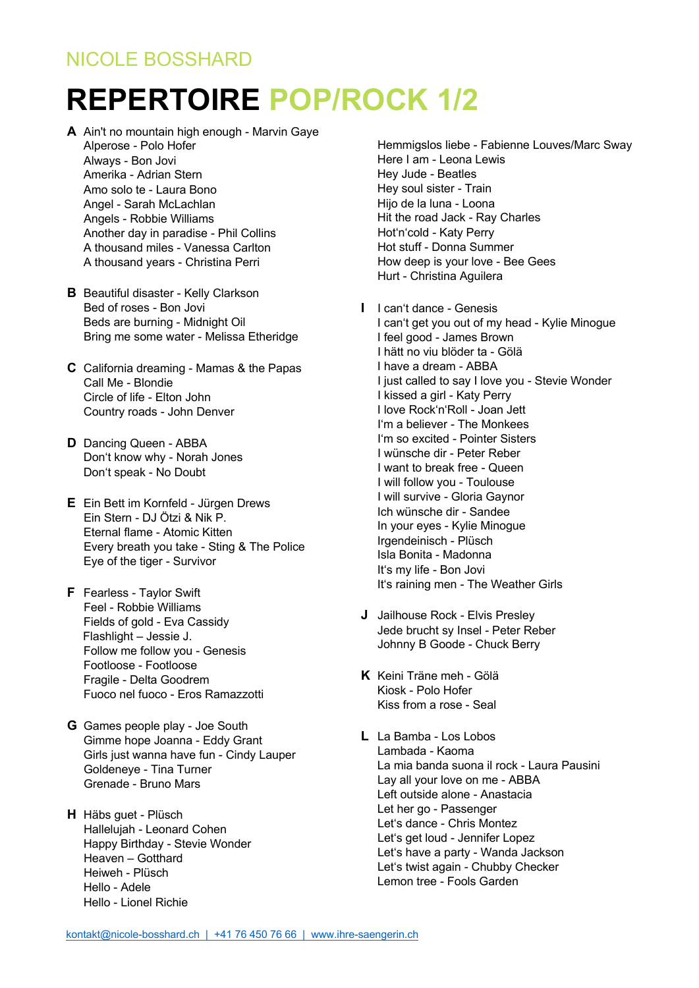## NICOLE BOSSHARD

## **REPERTOIRE POP/ROCK 1/2**

- **A** Ain't no mountain high enough Marvin Gaye Alperose - Polo Hofer Always - Bon Jovi Amerika - Adrian Stern Amo solo te - Laura Bono Angel - Sarah McLachlan Angels - Robbie Williams Another day in paradise - Phil Collins A thousand miles - Vanessa Carlton A thousand years - Christina Perri
- **B** Beautiful disaster Kelly Clarkson Bed of roses - Bon Jovi Beds are burning - Midnight Oil Bring me some water - Melissa Etheridge
- **C** California dreaming Mamas & the Papas Call Me - Blondie Circle of life - Elton John Country roads - John Denver
- **D** Dancing Queen ABBA Don't know why - Norah Jones Don't speak - No Doubt
- **E** Ein Bett im Kornfeld Jürgen Drews Ein Stern - DJ Ötzi & Nik P. Eternal flame - Atomic Kitten Every breath you take - Sting & The Police Eye of the tiger - Survivor
- **F** Fearless Taylor Swift Feel - Robbie Williams Fields of gold - Eva Cassidy Flashlight – Jessie J. Follow me follow you - Genesis Footloose - Footloose Fragile - Delta Goodrem Fuoco nel fuoco - Eros Ramazzotti
- **G** Games people play Joe South Gimme hope Joanna - Eddy Grant Girls just wanna have fun - Cindy Lauper Goldeneye - Tina Turner Grenade - Bruno Mars
- **H** Häbs guet Plüsch Hallelujah - Leonard Cohen Happy Birthday - Stevie Wonder Heaven – Gotthard Heiweh - Plüsch Hello - Adele Hello - Lionel Richie

 Hemmigslos liebe - Fabienne Louves/Marc Sway Here I am - Leona Lewis Hey Jude - Beatles Hey soul sister - Train Hijo de la luna - Loona Hit the road Jack - Ray Charles Hot'n'cold - Katy Perry Hot stuff - Donna Summer How deep is your love - Bee Gees Hurt - Christina Aguilera

- **I** I can't dance Genesis
- I can't get you out of my head Kylie Minogue I feel good - James Brown I hätt no viu blöder ta - Gölä I have a dream - ABBA I just called to say I love you - Stevie Wonder I kissed a girl - Katy Perry I love Rock'n'Roll - Joan Jett I'm a believer - The Monkees I'm so excited - Pointer Sisters I wünsche dir - Peter Reber I want to break free - Queen I will follow you - Toulouse I will survive - Gloria Gaynor Ich wünsche dir - Sandee In your eyes - Kylie Minogue Irgendeinisch - Plüsch Isla Bonita - Madonna It's my life - Bon Jovi It's raining men - The Weather Girls
- **J** Jailhouse Rock Elvis Presley Jede brucht sy Insel - Peter Reber Johnny B Goode - Chuck Berry
- **K** Keini Träne meh Gölä Kiosk - Polo Hofer Kiss from a rose - Seal
- **L** La Bamba Los Lobos Lambada - Kaoma La mia banda suona il rock - Laura Pausini Lay all your love on me - ABBA Left outside alone - Anastacia Let her go - Passenger Let's dance - Chris Montez Let's get loud - Jennifer Lopez Let's have a party - Wanda Jackson Let's twist again - Chubby Checker Lemon tree - Fools Garden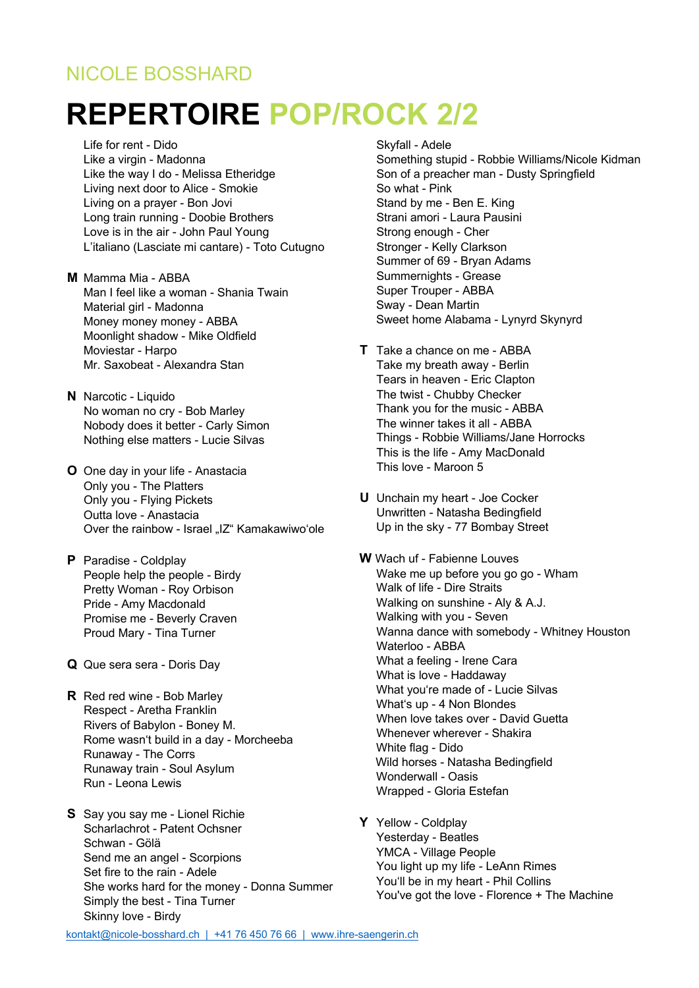## NICOLE BOSSHARD

## **REPERTOIRE POP/ROCK 2/2**

Life for rent - Dido Like a virgin - Madonna Like the way I do - Melissa Etheridge Living next door to Alice - Smokie Living on a prayer - Bon Jovi Long train running - Doobie Brothers Love is in the air - John Paul Young L'italiano (Lasciate mi cantare) - Toto Cutugno

- **M** Mamma Mia ABBA Man I feel like a woman - Shania Twain Material girl - Madonna Money money money - ABBA Moonlight shadow - Mike Oldfield Moviestar - Harpo Mr. Saxobeat - Alexandra Stan
- **N** Narcotic Liquido No woman no cry - Bob Marley Nobody does it better - Carly Simon Nothing else matters - Lucie Silvas
- **O** One day in your life Anastacia Only you - The Platters Only you - Flying Pickets Outta love - Anastacia Over the rainbow - Israel "IZ" Kamakawiwo'ole
- **P** Paradise Coldplay People help the people - Birdy Pretty Woman - Roy Orbison Pride - Amy Macdonald Promise me - Beverly Craven Proud Mary - Tina Turner
- **Q** Que sera sera Doris Day
- **R** Red red wine Bob Marley Respect - Aretha Franklin Rivers of Babylon - Boney M. Rome wasn't build in a day - Morcheeba Runaway - The Corrs Runaway train - Soul Asylum Run - Leona Lewis
- **S** Say you say me Lionel Richie Scharlachrot - Patent Ochsner Schwan - Gölä Send me an angel - Scorpions Set fire to the rain - Adele She works hard for the money - Donna Summer Simply the best - Tina Turner Skinny love - Birdy
- Skyfall Adele Something stupid - Robbie Williams/Nicole Kidman Son of a preacher man - Dusty Springfield So what - Pink Stand by me - Ben E. King Strani amori - Laura Pausini Strong enough - Cher Stronger - Kelly Clarkson Summer of 69 - Bryan Adams Summernights - Grease Super Trouper - ABBA Sway - Dean Martin Sweet home Alabama - Lynyrd Skynyrd
- **T** Take a chance on me ABBA Take my breath away - Berlin Tears in heaven - Eric Clapton The twist - Chubby Checker Thank you for the music - ABBA The winner takes it all - ABBA Things - Robbie Williams/Jane Horrocks This is the life - Amy MacDonald This love - Maroon 5
- **U** Unchain my heart Joe Cocker Unwritten - Natasha Bedingfield Up in the sky - 77 Bombay Street
- **W** Wach uf Fabienne Louves Wake me up before you go go - Wham Walk of life - Dire Straits Walking on sunshine - Aly & A.J. Walking with you - Seven Wanna dance with somebody - Whitney Houston Waterloo - ABBA What a feeling - Irene Cara What is love - Haddaway What you're made of - Lucie Silvas What's up - 4 Non Blondes When love takes over - David Guetta Whenever wherever - Shakira White flag - Dido Wild horses - Natasha Bedingfield Wonderwall - Oasis Wrapped - Gloria Estefan
- **Y** Yellow Coldplay Yesterday - Beatles YMCA - Village People You light up my life - LeAnn Rimes You'll be in my heart - Phil Collins You've got the love - Florence + The Machine